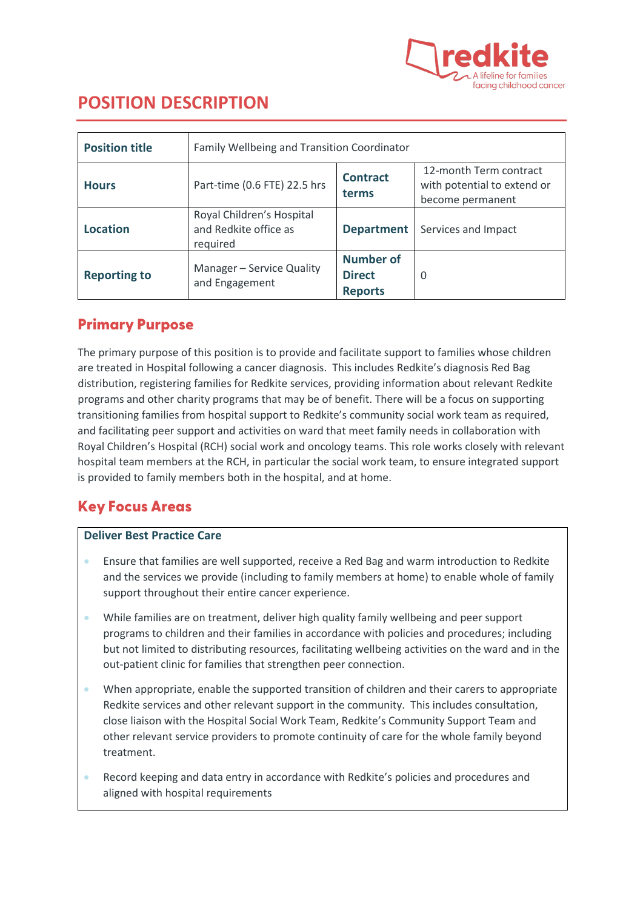

# **POSITION DESCRIPTION**

| <b>Position title</b> | Family Wellbeing and Transition Coordinator                    |                                                     |                                                                           |  |
|-----------------------|----------------------------------------------------------------|-----------------------------------------------------|---------------------------------------------------------------------------|--|
| <b>Hours</b>          | Part-time (0.6 FTE) 22.5 hrs                                   | <b>Contract</b><br>terms                            | 12-month Term contract<br>with potential to extend or<br>become permanent |  |
| <b>Location</b>       | Royal Children's Hospital<br>and Redkite office as<br>required | <b>Department</b>                                   | Services and Impact                                                       |  |
| <b>Reporting to</b>   | Manager - Service Quality<br>and Engagement                    | <b>Number of</b><br><b>Direct</b><br><b>Reports</b> | O                                                                         |  |

## Primary Purpose

The primary purpose of this position is to provide and facilitate support to families whose children are treated in Hospital following a cancer diagnosis. This includes Redkite's diagnosis Red Bag distribution, registering families for Redkite services, providing information about relevant Redkite programs and other charity programs that may be of benefit. There will be a focus on supporting transitioning families from hospital support to Redkite's community social work team as required, and facilitating peer support and activities on ward that meet family needs in collaboration with Royal Children's Hospital (RCH) social work and oncology teams. This role works closely with relevant hospital team members at the RCH, in particular the social work team, to ensure integrated support is provided to family members both in the hospital, and at home.

## Key Focus Areas

#### **Deliver Best Practice Care**

- Ensure that families are well supported, receive a Red Bag and warm introduction to Redkite and the services we provide (including to family members at home) to enable whole of family support throughout their entire cancer experience.
- While families are on treatment, deliver high quality family wellbeing and peer support programs to children and their families in accordance with policies and procedures; including but not limited to distributing resources, facilitating wellbeing activities on the ward and in the out-patient clinic for families that strengthen peer connection.
- When appropriate, enable the supported transition of children and their carers to appropriate Redkite services and other relevant support in the community. This includes consultation, close liaison with the Hospital Social Work Team, Redkite's Community Support Team and other relevant service providers to promote continuity of care for the whole family beyond treatment.
- Record keeping and data entry in accordance with Redkite's policies and procedures and aligned with hospital requirements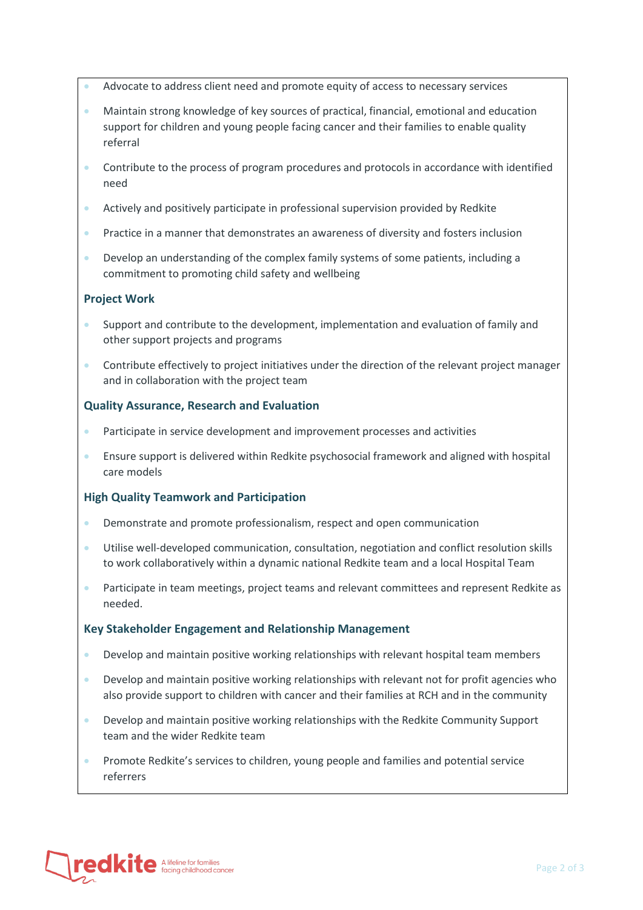- Advocate to address client need and promote equity of access to necessary services
- Maintain strong knowledge of key sources of practical, financial, emotional and education support for children and young people facing cancer and their families to enable quality referral
- Contribute to the process of program procedures and protocols in accordance with identified need
- Actively and positively participate in professional supervision provided by Redkite
- Practice in a manner that demonstrates an awareness of diversity and fosters inclusion
- Develop an understanding of the complex family systems of some patients, including a commitment to promoting child safety and wellbeing

#### **Project Work**

- Support and contribute to the development, implementation and evaluation of family and other support projects and programs
- Contribute effectively to project initiatives under the direction of the relevant project manager and in collaboration with the project team

#### **Quality Assurance, Research and Evaluation**

- Participate in service development and improvement processes and activities
- Ensure support is delivered within Redkite psychosocial framework and aligned with hospital care models

#### **High Quality Teamwork and Participation**

- Demonstrate and promote professionalism, respect and open communication
- Utilise well-developed communication, consultation, negotiation and conflict resolution skills to work collaboratively within a dynamic national Redkite team and a local Hospital Team
- Participate in team meetings, project teams and relevant committees and represent Redkite as needed.

#### **Key Stakeholder Engagement and Relationship Management**

- Develop and maintain positive working relationships with relevant hospital team members
- Develop and maintain positive working relationships with relevant not for profit agencies who also provide support to children with cancer and their families at RCH and in the community
- Develop and maintain positive working relationships with the Redkite Community Support team and the wider Redkite team
- Promote Redkite's services to children, young people and families and potential service referrers